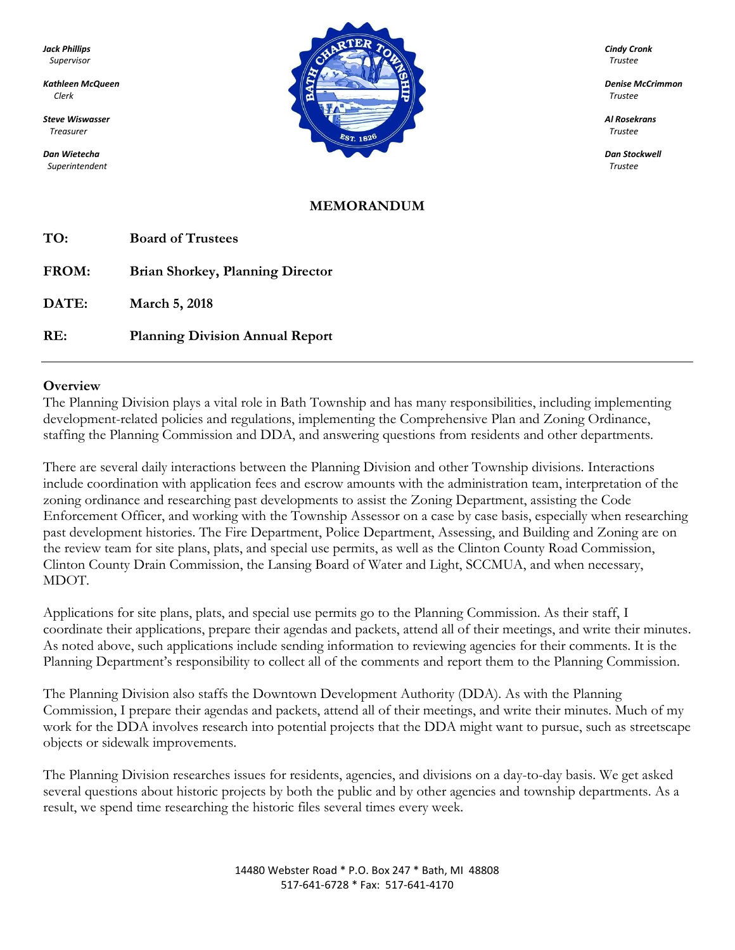*Superintendent Trustee*



#### **MEMORANDUM**

| TO:   | <b>Board of Trustees</b>                |
|-------|-----------------------------------------|
| FROM: | <b>Brian Shorkey, Planning Director</b> |
| DATE: | March 5, 2018                           |
| RE:   | <b>Planning Division Annual Report</b>  |

#### **Overview**

The Planning Division plays a vital role in Bath Township and has many responsibilities, including implementing development-related policies and regulations, implementing the Comprehensive Plan and Zoning Ordinance, staffing the Planning Commission and DDA, and answering questions from residents and other departments.

There are several daily interactions between the Planning Division and other Township divisions. Interactions include coordination with application fees and escrow amounts with the administration team, interpretation of the zoning ordinance and researching past developments to assist the Zoning Department, assisting the Code Enforcement Officer, and working with the Township Assessor on a case by case basis, especially when researching past development histories. The Fire Department, Police Department, Assessing, and Building and Zoning are on the review team for site plans, plats, and special use permits, as well as the Clinton County Road Commission, Clinton County Drain Commission, the Lansing Board of Water and Light, SCCMUA, and when necessary, MDOT.

Applications for site plans, plats, and special use permits go to the Planning Commission. As their staff, I coordinate their applications, prepare their agendas and packets, attend all of their meetings, and write their minutes. As noted above, such applications include sending information to reviewing agencies for their comments. It is the Planning Department's responsibility to collect all of the comments and report them to the Planning Commission.

The Planning Division also staffs the Downtown Development Authority (DDA). As with the Planning Commission, I prepare their agendas and packets, attend all of their meetings, and write their minutes. Much of my work for the DDA involves research into potential projects that the DDA might want to pursue, such as streetscape objects or sidewalk improvements.

The Planning Division researches issues for residents, agencies, and divisions on a day-to-day basis. We get asked several questions about historic projects by both the public and by other agencies and township departments. As a result, we spend time researching the historic files several times every week.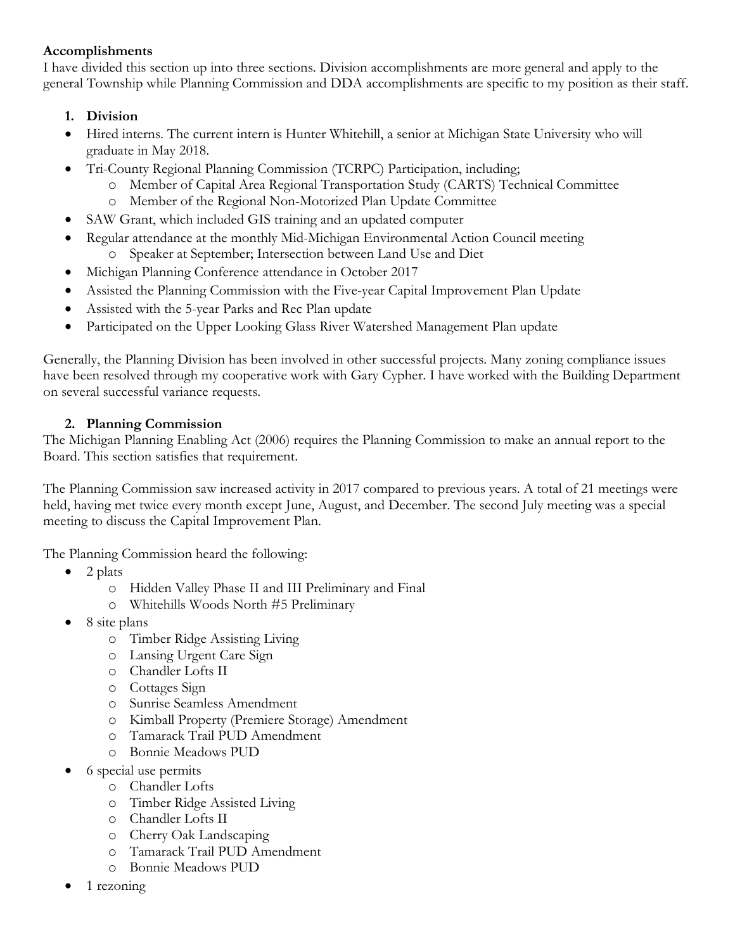### **Accomplishments**

I have divided this section up into three sections. Division accomplishments are more general and apply to the general Township while Planning Commission and DDA accomplishments are specific to my position as their staff.

# **1. Division**

- Hired interns. The current intern is Hunter Whitehill, a senior at Michigan State University who will graduate in May 2018.
- Tri-County Regional Planning Commission (TCRPC) Participation, including;
	- o Member of Capital Area Regional Transportation Study (CARTS) Technical Committee
	- o Member of the Regional Non-Motorized Plan Update Committee
- SAW Grant, which included GIS training and an updated computer
- Regular attendance at the monthly Mid-Michigan Environmental Action Council meeting o Speaker at September; Intersection between Land Use and Diet
- Michigan Planning Conference attendance in October 2017
- Assisted the Planning Commission with the Five-year Capital Improvement Plan Update
- Assisted with the 5-year Parks and Rec Plan update
- Participated on the Upper Looking Glass River Watershed Management Plan update

Generally, the Planning Division has been involved in other successful projects. Many zoning compliance issues have been resolved through my cooperative work with Gary Cypher. I have worked with the Building Department on several successful variance requests.

## **2. Planning Commission**

The Michigan Planning Enabling Act (2006) requires the Planning Commission to make an annual report to the Board. This section satisfies that requirement.

The Planning Commission saw increased activity in 2017 compared to previous years. A total of 21 meetings were held, having met twice every month except June, August, and December. The second July meeting was a special meeting to discuss the Capital Improvement Plan.

The Planning Commission heard the following:

- $\bullet$  2 plats
	- o Hidden Valley Phase II and III Preliminary and Final
	- o Whitehills Woods North #5 Preliminary
- 8 site plans
	- o Timber Ridge Assisting Living
	- o Lansing Urgent Care Sign
	- o Chandler Lofts II
	- o Cottages Sign
	- o Sunrise Seamless Amendment
	- o Kimball Property (Premiere Storage) Amendment
	- o Tamarack Trail PUD Amendment
	- o Bonnie Meadows PUD
- 6 special use permits
	- o Chandler Lofts
	- o Timber Ridge Assisted Living
	- o Chandler Lofts II
	- o Cherry Oak Landscaping
	- o Tamarack Trail PUD Amendment
	- o Bonnie Meadows PUD
- 1 rezoning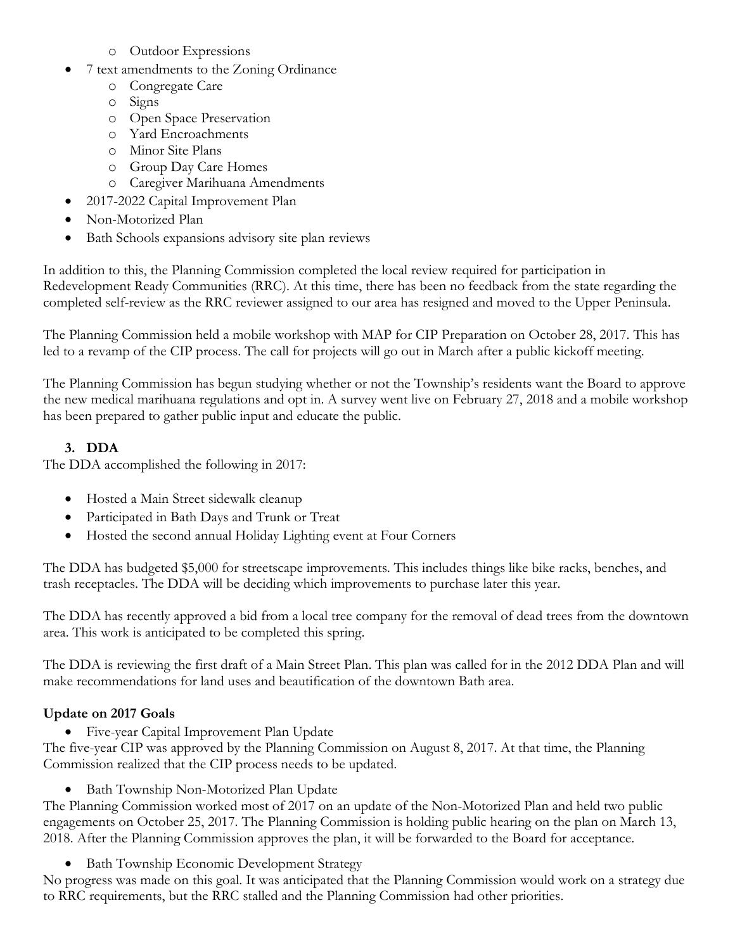- o Outdoor Expressions
- 7 text amendments to the Zoning Ordinance
	- o Congregate Care
	- o Signs
	- o Open Space Preservation
	- o Yard Encroachments
	- o Minor Site Plans
	- o Group Day Care Homes
	- o Caregiver Marihuana Amendments
- 2017-2022 Capital Improvement Plan
- Non-Motorized Plan
- Bath Schools expansions advisory site plan reviews

In addition to this, the Planning Commission completed the local review required for participation in Redevelopment Ready Communities (RRC). At this time, there has been no feedback from the state regarding the completed self-review as the RRC reviewer assigned to our area has resigned and moved to the Upper Peninsula.

The Planning Commission held a mobile workshop with MAP for CIP Preparation on October 28, 2017. This has led to a revamp of the CIP process. The call for projects will go out in March after a public kickoff meeting.

The Planning Commission has begun studying whether or not the Township's residents want the Board to approve the new medical marihuana regulations and opt in. A survey went live on February 27, 2018 and a mobile workshop has been prepared to gather public input and educate the public.

# **3. DDA**

The DDA accomplished the following in 2017:

- Hosted a Main Street sidewalk cleanup
- Participated in Bath Days and Trunk or Treat
- Hosted the second annual Holiday Lighting event at Four Corners

The DDA has budgeted \$5,000 for streetscape improvements. This includes things like bike racks, benches, and trash receptacles. The DDA will be deciding which improvements to purchase later this year.

The DDA has recently approved a bid from a local tree company for the removal of dead trees from the downtown area. This work is anticipated to be completed this spring.

The DDA is reviewing the first draft of a Main Street Plan. This plan was called for in the 2012 DDA Plan and will make recommendations for land uses and beautification of the downtown Bath area.

## **Update on 2017 Goals**

Five-year Capital Improvement Plan Update

The five-year CIP was approved by the Planning Commission on August 8, 2017. At that time, the Planning Commission realized that the CIP process needs to be updated.

• Bath Township Non-Motorized Plan Update

The Planning Commission worked most of 2017 on an update of the Non-Motorized Plan and held two public engagements on October 25, 2017. The Planning Commission is holding public hearing on the plan on March 13, 2018. After the Planning Commission approves the plan, it will be forwarded to the Board for acceptance.

• Bath Township Economic Development Strategy

No progress was made on this goal. It was anticipated that the Planning Commission would work on a strategy due to RRC requirements, but the RRC stalled and the Planning Commission had other priorities.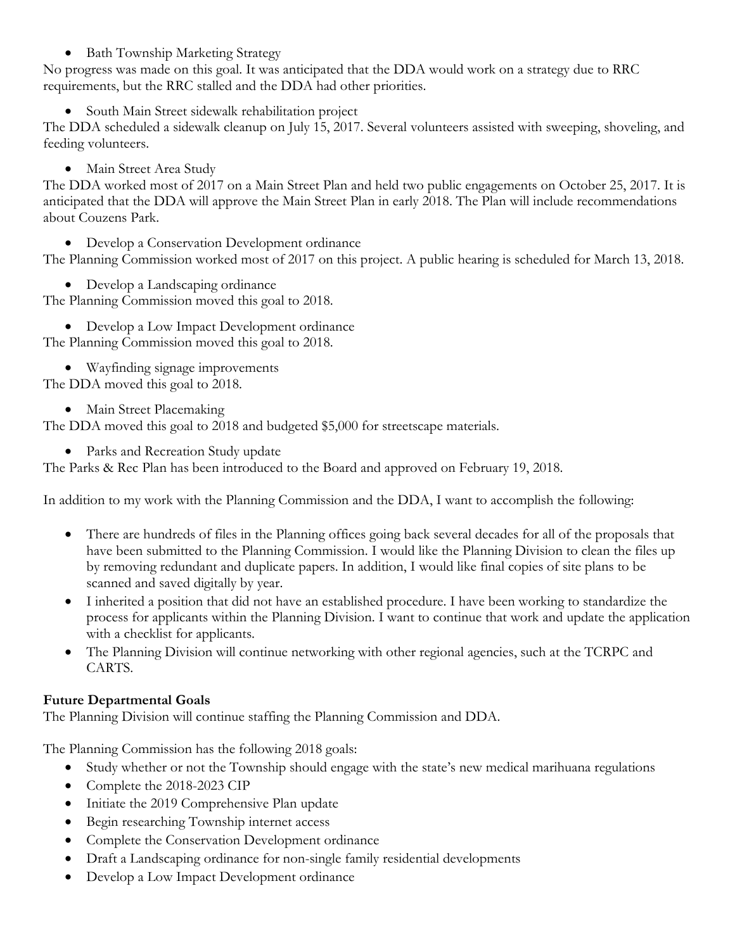• Bath Township Marketing Strategy

No progress was made on this goal. It was anticipated that the DDA would work on a strategy due to RRC requirements, but the RRC stalled and the DDA had other priorities.

• South Main Street sidewalk rehabilitation project

The DDA scheduled a sidewalk cleanup on July 15, 2017. Several volunteers assisted with sweeping, shoveling, and feeding volunteers.

• Main Street Area Study

The DDA worked most of 2017 on a Main Street Plan and held two public engagements on October 25, 2017. It is anticipated that the DDA will approve the Main Street Plan in early 2018. The Plan will include recommendations about Couzens Park.

Develop a Conservation Development ordinance

The Planning Commission worked most of 2017 on this project. A public hearing is scheduled for March 13, 2018.

• Develop a Landscaping ordinance

The Planning Commission moved this goal to 2018.

Develop a Low Impact Development ordinance

The Planning Commission moved this goal to 2018.

- Wayfinding signage improvements The DDA moved this goal to 2018.
	- Main Street Placemaking

The DDA moved this goal to 2018 and budgeted \$5,000 for streetscape materials.

• Parks and Recreation Study update

The Parks & Rec Plan has been introduced to the Board and approved on February 19, 2018.

In addition to my work with the Planning Commission and the DDA, I want to accomplish the following:

- There are hundreds of files in the Planning offices going back several decades for all of the proposals that have been submitted to the Planning Commission. I would like the Planning Division to clean the files up by removing redundant and duplicate papers. In addition, I would like final copies of site plans to be scanned and saved digitally by year.
- I inherited a position that did not have an established procedure. I have been working to standardize the process for applicants within the Planning Division. I want to continue that work and update the application with a checklist for applicants.
- The Planning Division will continue networking with other regional agencies, such at the TCRPC and CARTS.

## **Future Departmental Goals**

The Planning Division will continue staffing the Planning Commission and DDA.

The Planning Commission has the following 2018 goals:

- Study whether or not the Township should engage with the state's new medical marihuana regulations
- Complete the 2018-2023 CIP
- Initiate the 2019 Comprehensive Plan update
- Begin researching Township internet access
- Complete the Conservation Development ordinance
- Draft a Landscaping ordinance for non-single family residential developments
- Develop a Low Impact Development ordinance